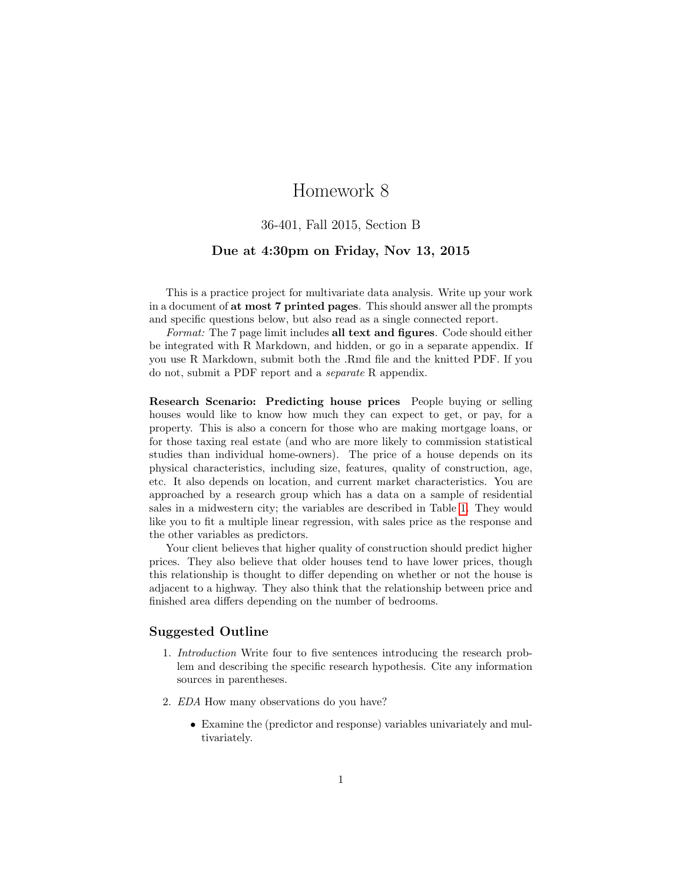# Homework 8

### 36-401, Fall 2015, Section B

### Due at 4:30pm on Friday, Nov 13, 2015

This is a practice project for multivariate data analysis. Write up your work in a document of at most 7 printed pages. This should answer all the prompts and specific questions below, but also read as a single connected report.

Format: The 7 page limit includes all text and figures. Code should either be integrated with R Markdown, and hidden, or go in a separate appendix. If you use R Markdown, submit both the .Rmd file and the knitted PDF. If you do not, submit a PDF report and a separate R appendix.

Research Scenario: Predicting house prices People buying or selling houses would like to know how much they can expect to get, or pay, for a property. This is also a concern for those who are making mortgage loans, or for those taxing real estate (and who are more likely to commission statistical studies than individual home-owners). The price of a house depends on its physical characteristics, including size, features, quality of construction, age, etc. It also depends on location, and current market characteristics. You are approached by a research group which has a data on a sample of residential sales in a midwestern city; the variables are described in Table [1.](#page-1-0) They would like you to fit a multiple linear regression, with sales price as the response and the other variables as predictors.

Your client believes that higher quality of construction should predict higher prices. They also believe that older houses tend to have lower prices, though this relationship is thought to differ depending on whether or not the house is adjacent to a highway. They also think that the relationship between price and finished area differs depending on the number of bedrooms.

#### Suggested Outline

- 1. Introduction Write four to five sentences introducing the research problem and describing the specific research hypothesis. Cite any information sources in parentheses.
- 2. EDA How many observations do you have?
	- Examine the (predictor and response) variables univariately and multivariately.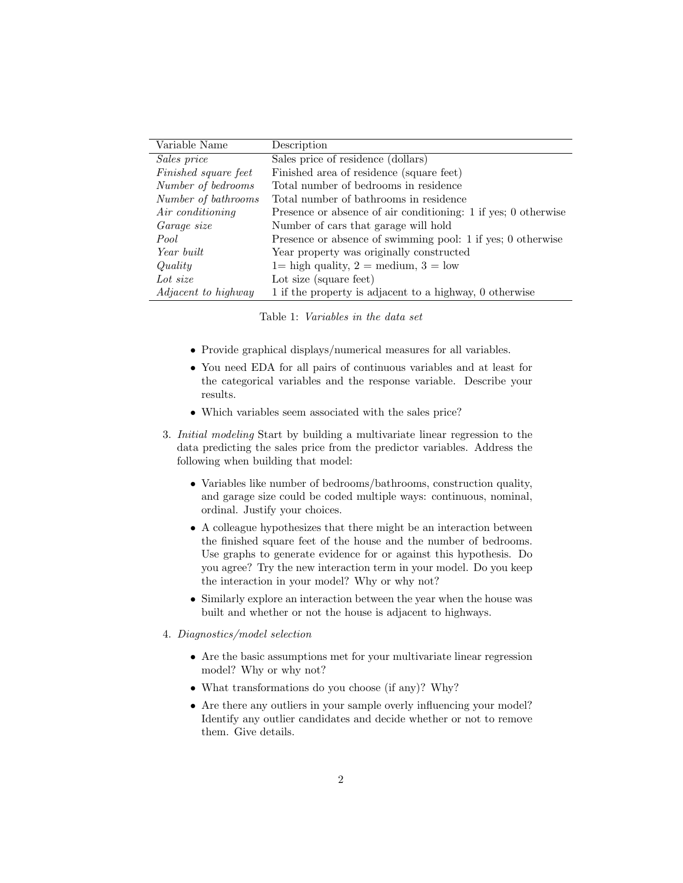| Variable Name        | Description                                                    |
|----------------------|----------------------------------------------------------------|
| Sales price          | Sales price of residence (dollars)                             |
| Finished square feet | Finished area of residence (square feet)                       |
| Number of bedrooms   | Total number of bedrooms in residence                          |
| Number of bathrooms  | Total number of bathrooms in residence                         |
| Air conditioning     | Presence or absence of air conditioning: 1 if yes; 0 otherwise |
| Garage size          | Number of cars that garage will hold                           |
| Pool                 | Presence or absence of swimming pool: 1 if yes; 0 otherwise    |
| Year built           | Year property was originally constructed                       |
| Quality              | $1 =$ high quality, $2 =$ medium, $3 =$ low                    |
| Lot size             | Lot size (square feet)                                         |
| Adjacent to highway  | 1 if the property is adjacent to a highway, 0 otherwise        |

<span id="page-1-0"></span>Table 1: Variables in the data set

- Provide graphical displays/numerical measures for all variables.
- You need EDA for all pairs of continuous variables and at least for the categorical variables and the response variable. Describe your results.
- Which variables seem associated with the sales price?
- 3. Initial modeling Start by building a multivariate linear regression to the data predicting the sales price from the predictor variables. Address the following when building that model:
	- Variables like number of bedrooms/bathrooms, construction quality, and garage size could be coded multiple ways: continuous, nominal, ordinal. Justify your choices.
	- A colleague hypothesizes that there might be an interaction between the finished square feet of the house and the number of bedrooms. Use graphs to generate evidence for or against this hypothesis. Do you agree? Try the new interaction term in your model. Do you keep the interaction in your model? Why or why not?
	- Similarly explore an interaction between the year when the house was built and whether or not the house is adjacent to highways.

#### 4. Diagnostics/model selection

- Are the basic assumptions met for your multivariate linear regression model? Why or why not?
- What transformations do you choose (if any)? Why?
- Are there any outliers in your sample overly influencing your model? Identify any outlier candidates and decide whether or not to remove them. Give details.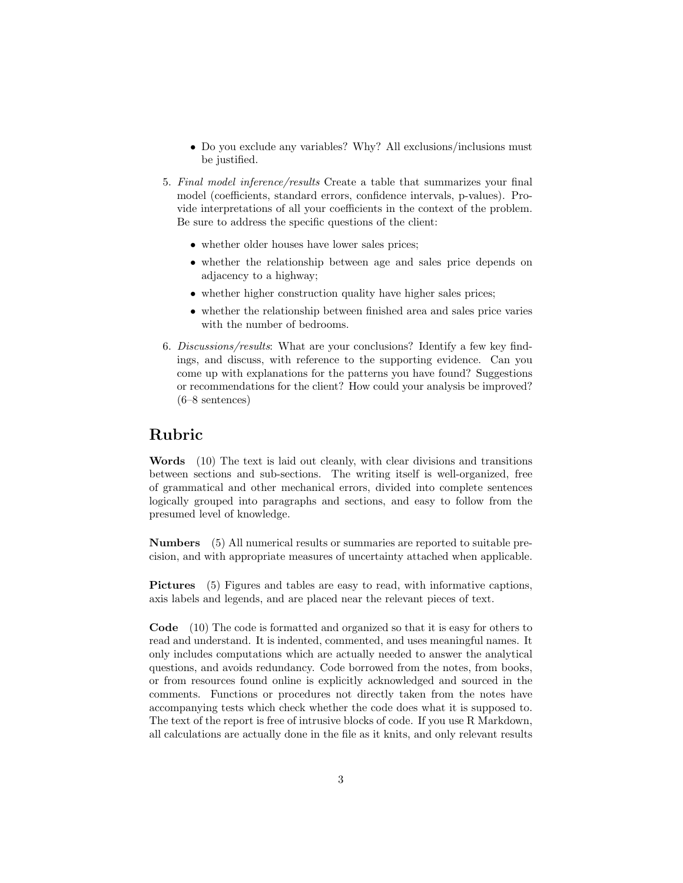- Do you exclude any variables? Why? All exclusions/inclusions must be justified.
- 5. Final model inference/results Create a table that summarizes your final model (coefficients, standard errors, confidence intervals, p-values). Provide interpretations of all your coefficients in the context of the problem. Be sure to address the specific questions of the client:
	- whether older houses have lower sales prices;
	- whether the relationship between age and sales price depends on adjacency to a highway;
	- whether higher construction quality have higher sales prices;
	- whether the relationship between finished area and sales price varies with the number of bedrooms.
- 6. Discussions/results: What are your conclusions? Identify a few key findings, and discuss, with reference to the supporting evidence. Can you come up with explanations for the patterns you have found? Suggestions or recommendations for the client? How could your analysis be improved? (6–8 sentences)

### Rubric

Words (10) The text is laid out cleanly, with clear divisions and transitions between sections and sub-sections. The writing itself is well-organized, free of grammatical and other mechanical errors, divided into complete sentences logically grouped into paragraphs and sections, and easy to follow from the presumed level of knowledge.

Numbers (5) All numerical results or summaries are reported to suitable precision, and with appropriate measures of uncertainty attached when applicable.

Pictures (5) Figures and tables are easy to read, with informative captions, axis labels and legends, and are placed near the relevant pieces of text.

Code (10) The code is formatted and organized so that it is easy for others to read and understand. It is indented, commented, and uses meaningful names. It only includes computations which are actually needed to answer the analytical questions, and avoids redundancy. Code borrowed from the notes, from books, or from resources found online is explicitly acknowledged and sourced in the comments. Functions or procedures not directly taken from the notes have accompanying tests which check whether the code does what it is supposed to. The text of the report is free of intrusive blocks of code. If you use R Markdown, all calculations are actually done in the file as it knits, and only relevant results